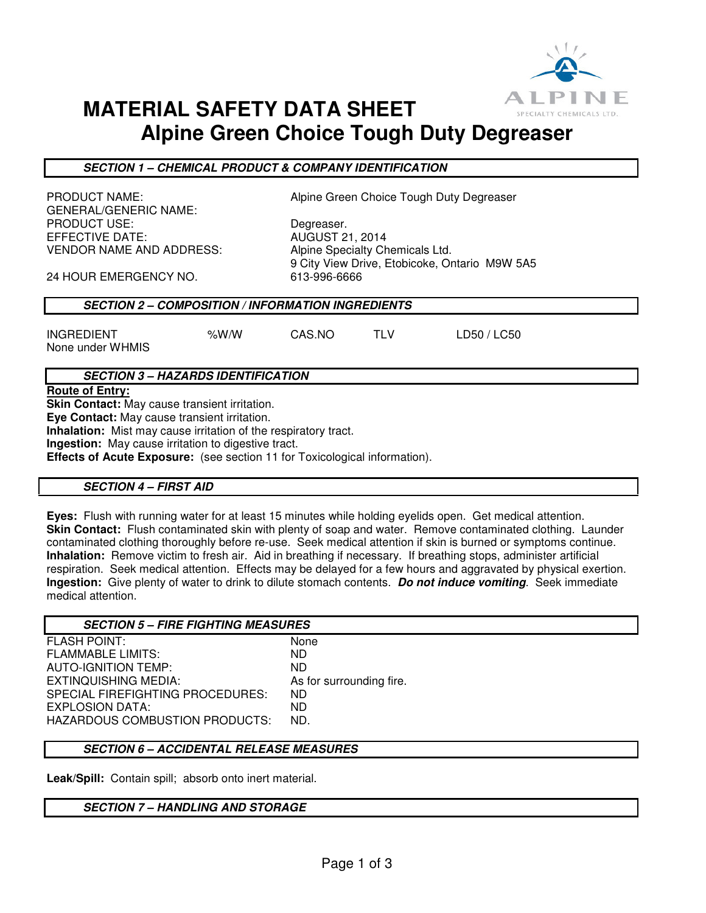

# **MATERIAL SAFETY DATA SHEET Alpine Green Choice Tough Duty Degreaser**

**SECTION 1 – CHEMICAL PRODUCT & COMPANY IDENTIFICATION** 

GENERAL/GENERIC NAME: PRODUCT USE: Degreaser. EFFECTIVE DATE: AUGUST 21, 2014 VENDOR NAME AND ADDRESS: Alpine Specialty Chemicals Ltd.

PRODUCT NAME: Alpine Green Choice Tough Duty Degreaser

9 City View Drive, Etobicoke, Ontario M9W 5A5

24 HOUR EMERGENCY NO. 613-996-6666

## **SECTION 2 – COMPOSITION / INFORMATION INGREDIENTS**

INGREDIENT %W/W CAS.NO TLV LD50 / LC50 None under WHMIS

# **SECTION 3 – HAZARDS IDENTIFICATION**

**Route of Entry:** 

**Skin Contact:** May cause transient irritation.

**Eye Contact:** May cause transient irritation.

**Inhalation:** Mist may cause irritation of the respiratory tract.

**Ingestion:** May cause irritation to digestive tract.

**Effects of Acute Exposure:** (see section 11 for Toxicological information).

### **SECTION 4 – FIRST AID**

**Eyes:** Flush with running water for at least 15 minutes while holding eyelids open. Get medical attention. **Skin Contact:** Flush contaminated skin with plenty of soap and water. Remove contaminated clothing. Launder contaminated clothing thoroughly before re-use. Seek medical attention if skin is burned or symptoms continue. **Inhalation:** Remove victim to fresh air. Aid in breathing if necessary. If breathing stops, administer artificial respiration. Seek medical attention. Effects may be delayed for a few hours and aggravated by physical exertion. **Ingestion:** Give plenty of water to drink to dilute stomach contents. **Do not induce vomiting**. Seek immediate medical attention.

| <b>SECTION 5 - FIRE FIGHTING MEASURES</b> |                          |
|-------------------------------------------|--------------------------|
| <b>FLASH POINT:</b>                       | None                     |
| <b>FLAMMABLE LIMITS:</b>                  | ND.                      |
| AUTO-IGNITION TEMP:                       | ND.                      |
| EXTINQUISHING MEDIA:                      | As for surrounding fire. |
| SPECIAL FIREFIGHTING PROCEDURES:          | ND.                      |
| EXPLOSION DATA:                           | ND.                      |
| <b>HAZARDOUS COMBUSTION PRODUCTS:</b>     | ND.                      |
|                                           |                          |

## **SECTION 6 – ACCIDENTAL RELEASE MEASURES**

**Leak/Spill:** Contain spill; absorb onto inert material.

### **SECTION 7 – HANDLING AND STORAGE**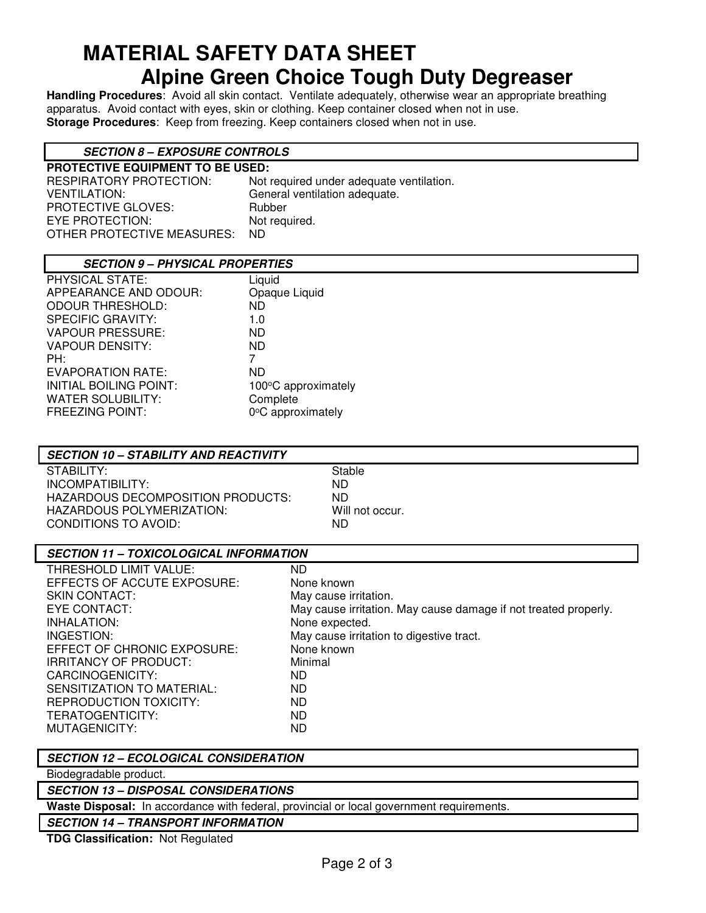# **MATERIAL SAFETY DATA SHEET Alpine Green Choice Tough Duty Degreaser**

**Handling Procedures**: Avoid all skin contact. Ventilate adequately, otherwise wear an appropriate breathing apparatus. Avoid contact with eyes, skin or clothing. Keep container closed when not in use. **Storage Procedures**: Keep from freezing. Keep containers closed when not in use.

# **SECTION 8 – EXPOSURE CONTROLS**

| <b>PROTECTIVE EQUIPMENT TO BE USED:</b> |                                          |  |
|-----------------------------------------|------------------------------------------|--|
| RESPIRATORY PROTECTION:                 | Not required under adequate ventilation. |  |
| VENTILATION:                            | General ventilation adequate.            |  |
| PROTECTIVE GLOVES:                      | Rubber                                   |  |
| EYE PROTECTION:                         | Not required.                            |  |
| OTHER PROTECTIVE MEASURES:              | ND.                                      |  |
|                                         |                                          |  |

## **SECTION 9 – PHYSICAL PROPERTIES**

| PHYSICAL STATE:               | Liquid              |
|-------------------------------|---------------------|
| APPEARANCE AND ODOUR:         | Opaque Liquid       |
| <b>ODOUR THRESHOLD:</b>       | ND.                 |
| <b>SPECIFIC GRAVITY:</b>      | 1.0                 |
| <b>VAPOUR PRESSURE:</b>       | ND.                 |
| <b>VAPOUR DENSITY:</b>        | ND.                 |
| PH:                           | 7                   |
| EVAPORATION RATE:             | ND                  |
| <b>INITIAL BOILING POINT:</b> | 100°C approximately |
| <b>WATER SOLUBILITY:</b>      | Complete            |
| <b>FREEZING POINT:</b>        | 0°C approximately   |
|                               |                     |

# **SECTION 10 – STABILITY AND REACTIVITY**

STABILITY: STABILITY: INCOMPATIBILITY: ND HAZARDOUS DECOMPOSITION PRODUCTS: ND HAZARDOUS POLYMERIZATION: Will not occur. CONDITIONS TO AVOID: ND

| <b>SECTION 11 - TOXICOLOGICAL INFORMATION</b> |                                                                 |  |
|-----------------------------------------------|-----------------------------------------------------------------|--|
| THRESHOLD LIMIT VALUE:                        | ND.                                                             |  |
| EFFECTS OF ACCUTE EXPOSURE:                   | None known                                                      |  |
| <b>SKIN CONTACT:</b>                          | May cause irritation.                                           |  |
| EYE CONTACT:                                  | May cause irritation. May cause damage if not treated properly. |  |
| INHALATION:                                   | None expected.                                                  |  |
| INGESTION:                                    | May cause irritation to digestive tract.                        |  |
| EFFECT OF CHRONIC EXPOSURE:                   | None known                                                      |  |
| IRRITANCY OF PRODUCT:                         | Minimal                                                         |  |
| CARCINOGENICITY:                              | ND.                                                             |  |
| SENSITIZATION TO MATERIAL:                    | ND.                                                             |  |
| REPRODUCTION TOXICITY:                        | ND.                                                             |  |
| TERATOGENTICITY:                              | <b>ND</b>                                                       |  |
| MUTAGENICITY:                                 | ND.                                                             |  |

# **SECTION 12 – ECOLOGICAL CONSIDERATION**

Biodegradable product.

### **SECTION 13 – DISPOSAL CONSIDERATIONS**

**Waste Disposal:** In accordance with federal, provincial or local government requirements.

# **SECTION 14 – TRANSPORT INFORMATION**

**TDG Classification:** Not Regulated